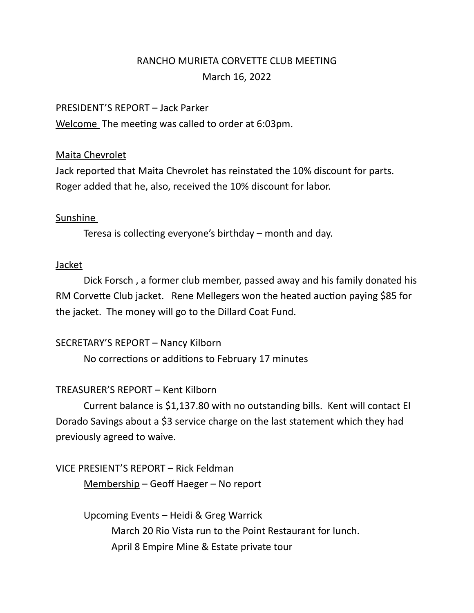# RANCHO MURIETA CORVETTE CLUB MEETING March 16, 2022

#### PRESIDENT'S REPORT – Jack Parker

Welcome The meeting was called to order at 6:03pm.

### Maita Chevrolet

Jack reported that Maita Chevrolet has reinstated the 10% discount for parts. Roger added that he, also, received the 10% discount for labor.

### Sunshine

Teresa is collecting everyone's birthday – month and day.

### Jacket

Dick Forsch , a former club member, passed away and his family donated his RM Corvette Club jacket. Rene Mellegers won the heated auction paying \$85 for the jacket. The money will go to the Dillard Coat Fund.

# SECRETARY'S REPORT – Nancy Kilborn

No corrections or additions to February 17 minutes

# TREASURER'S REPORT – Kent Kilborn

Current balance is \$1,137.80 with no outstanding bills. Kent will contact El Dorado Savings about a \$3 service charge on the last statement which they had previously agreed to waive.

VICE PRESIENT'S REPORT – Rick Feldman Membership – Geoff Haeger – No report

> Upcoming Events – Heidi & Greg Warrick March 20 Rio Vista run to the Point Restaurant for lunch. April 8 Empire Mine & Estate private tour